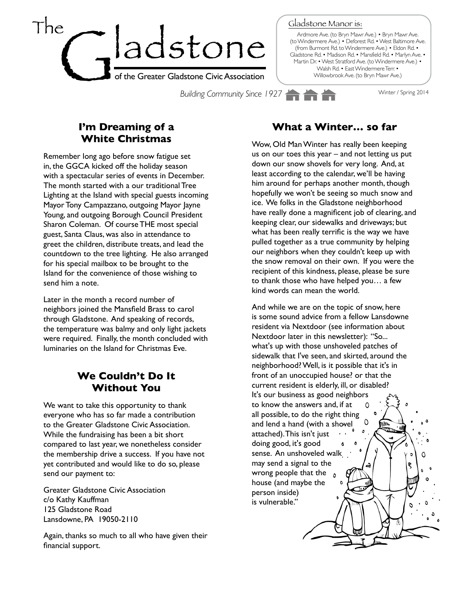

Gladstone Manor is:

Ardmore Ave. (to Bryn Mawr Ave.) • Bryn Mawr Ave. (to Windermere Ave.) • Deforest Rd. • West Baltimore Ave. (from Burmont Rd. to Windermere Ave.) • Eldon Rd. • Gladstone Rd. • Madison Rd. • Mansfield Rd. • Marlyn Ave. • Martin Dr. • West Stratford Ave. (to Windermere Ave.) • Walsh Rd. • East Windermere Terr. • Willowbrook Ave. (to Bryn Mawr Ave.)

**Building Community Since 1927** Winter / Spring 2014

## **I'm Dreaming of a White Christmas**

Remember long ago before snow fatigue set in, the GGCA kicked off the holiday season with a spectacular series of events in December. The month started with a our traditional Tree Lighting at the Island with special guests incoming Mayor Tony Campazzano, outgoing Mayor Jayne Young, and outgoing Borough Council President Sharon Coleman. Of course THE most special guest, Santa Claus, was also in attendance to greet the children, distribute treats, and lead the countdown to the tree lighting. He also arranged for his special mailbox to be brought to the Island for the convenience of those wishing to send him a note.

Later in the month a record number of neighbors joined the Mansfield Brass to carol through Gladstone. And speaking of records, the temperature was balmy and only light jackets were required. Finally, the month concluded with luminaries on the Island for Christmas Eve.

## **We Couldn't Do It Without You**

We want to take this opportunity to thank everyone who has so far made a contribution to the Greater Gladstone Civic Association. While the fundraising has been a bit short compared to last year, we nonetheless consider the membership drive a success. If you have not yet contributed and would like to do so, please send our payment to:

Greater Gladstone Civic Association c/o Kathy Kauffman 125 Gladstone Road Lansdowne, PA 19050-2110

Again, thanks so much to all who have given their financial support.

## **What a Winter… so far**

Wow, Old Man Winter has really been keeping us on our toes this year – and not letting us put down our snow shovels for very long. And, at least according to the calendar, we'll be having him around for perhaps another month, though hopefully we won't be seeing so much snow and ice. We folks in the Gladstone neighborhood have really done a magnificent job of clearing, and keeping clear, our sidewalks and driveways; but what has been really terrific is the way we have pulled together as a true community by helping our neighbors when they couldn't keep up with the snow removal on their own. If you were the recipient of this kindness, please, please be sure to thank those who have helped you… a few kind words can mean the world.

And while we are on the topic of snow, here is some sound advice from a fellow Lansdowne resident via Nextdoor (see information about Nextdoor later in this newsletter): "So... what's up with those unshoveled patches of sidewalk that I've seen, and skirted, around the neighborhood? Well, is it possible that it's in front of an unoccupied house? or that the current resident is elderly, ill, or disabled? It's our business as good neighbors to know the answers and, if at  $\Omega$ all possible, to do the right thing  $\mathsf{O}$ and lend a hand (with a shovel attached). This isn't just doing good, it's good Ó sense. An unshoveled walk Ω may send a signal to the wrong people that the  $\delta$ house (and maybe the person inside) is vulnerable."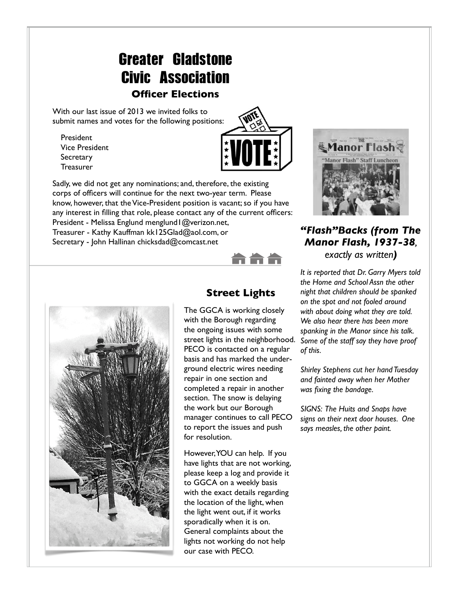# Greater Gladstone Civic Association

#### **Officer Elections**

With our last issue of 2013 we invited folks to submit names and votes for the following positions:

President Vice President **Secretary Treasurer** 



Sadly, we did not get any nominations; and, therefore, the existing corps of officers will continue for the next two-year term. Please know, however, that the Vice-President position is vacant; so if you have any interest in filling that role, please contact any of the current officers: President - Melissa Englund menglund I @verizon.net,

Treasurer - Kathy Kauffman [kk125Glad@aol.com,](mailto:kk125Glad@aol.com) or Secretary - John Hallinan [chicksdad@comcast.net](mailto:chicksdad@comcast.net)



#### **Street Lights**

The GGCA is working closely with the Borough regarding the ongoing issues with some street lights in the neighborhood. PECO is contacted on a regular basis and has marked the underground electric wires needing repair in one section and completed a repair in another section. The snow is delaying the work but our Borough manager continues to call PECO to report the issues and push for resolution.

However, YOU can help. If you have lights that are not working, please keep a log and provide it to GGCA on a weekly basis with the exact details regarding the location of the light, when the light went out, if it works sporadically when it is on. General complaints about the lights not working do not help our case with PECO.



#### *"Flash"Backs (from The Manor Flash, 1937-38, exactly as written)*

*It is reported that Dr. Garry Myers told the Home and School Assn the other night that children should be spanked on the spot and not fooled around with about doing what they are told. We also hear there has been more spanking in the Manor since his talk. Some of the staff say they have proof of this.*

*Shirley Stephens cut her hand Tuesday and fainted away when her Mother was fixing the bandage.*

*SIGNS: The Huits and Snaps have signs on their next door houses. One says measles, the other paint.*

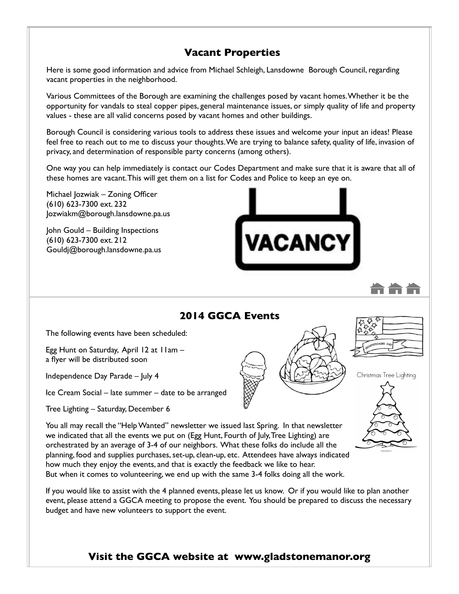## **Vacant Properties**

Here is some good information and advice from Michael Schleigh, Lansdowne Borough Council, regarding vacant properties in the neighborhood.

Various Committees of the Borough are examining the challenges posed by vacant homes. Whether it be the opportunity for vandals to steal copper pipes, general maintenance issues, or simply quality of life and property values - these are all valid concerns posed by vacant homes and other buildings.

Borough Council is considering various tools to address these issues and welcome your input an ideas! Please feel free to reach out to me to discuss your thoughts. We are trying to balance safety, quality of life, invasion of privacy, and determination of responsible party concerns (among others).

One way you can help immediately is contact our Codes Department and make sure that it is aware that all of these homes are vacant. This will get them on a list for Codes and Police to keep an eye on.

Michael Jozwiak – Zoning Officer (610) 623-7300 ext. 232 [Jozwiakm@borough.lansdowne.pa.us](mailto:Jozwiakm@borough.lansdowne.pa.us)

John Gould – Building Inspections (610) 623-7300 ext. 212 [Gouldj@borough.lansdowne.pa.us](mailto:Gouldj@borough.lansdowne.pa.us)



Christmas Tree Lighting

## **2014 GGCA Events**

The following events have been scheduled:

Egg Hunt on Saturday, April 12 at 11am – a flyer will be distributed soon

Independence Day Parade – July 4

Ice Cream Social – late summer – date to be arranged

Tree Lighting – Saturday, December 6

You all may recall the "Help Wanted" newsletter we issued last Spring. In that newsletter we indicated that all the events we put on (Egg Hunt, Fourth of July, Tree Lighting) are orchestrated by an average of 3-4 of our neighbors. What these folks do include all the planning, food and supplies purchases, set-up, clean-up, etc. Attendees have always indicated how much they enjoy the events, and that is exactly the feedback we like to hear. But when it comes to volunteering, we end up with the same 3-4 folks doing all the work.

If you would like to assist with the 4 planned events, please let us know. Or if you would like to plan another event, please attend a GGCA meeting to propose the event. You should be prepared to discuss the necessary budget and have new volunteers to support the event.

## **Visit the GGCA website at [www.gladstonemanor.org](http://www.gladstonemanor.org/)**